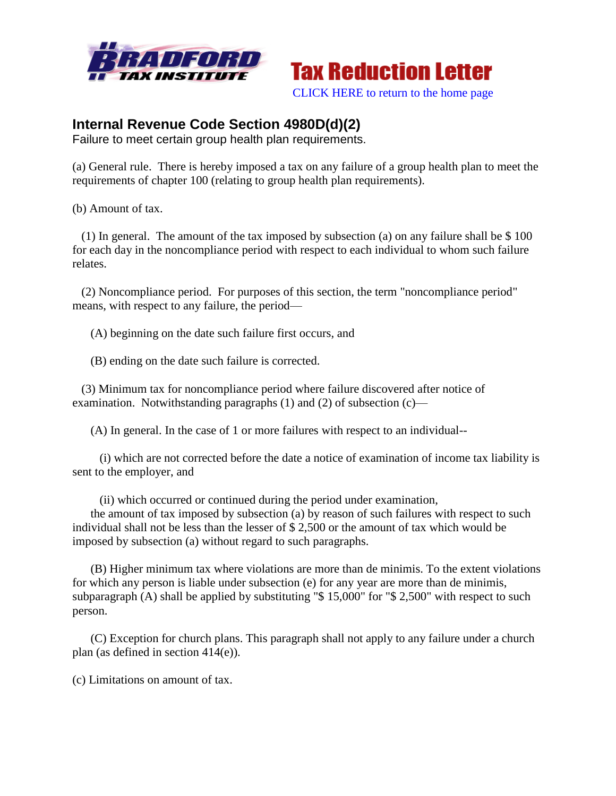



[CLICK HERE to return to the home page](http://bradfordtaxinstitute.com/index1.aspx)

## **Internal Revenue Code Section 4980D(d)(2)**

Failure to meet certain group health plan requirements.

(a) General rule. There is hereby imposed a tax on any failure of a group health plan to meet the requirements of chapter 100 (relating to group health plan requirements).

(b) Amount of tax.

 (1) In general. The amount of the tax imposed by subsection (a) on any failure shall be \$ 100 for each day in the noncompliance period with respect to each individual to whom such failure relates.

 (2) Noncompliance period. For purposes of this section, the term "noncompliance period" means, with respect to any failure, the period—

(A) beginning on the date such failure first occurs, and

(B) ending on the date such failure is corrected.

 (3) Minimum tax for noncompliance period where failure discovered after notice of examination. Notwithstanding paragraphs (1) and (2) of subsection (c)—

(A) In general. In the case of 1 or more failures with respect to an individual--

 (i) which are not corrected before the date a notice of examination of income tax liability is sent to the employer, and

(ii) which occurred or continued during the period under examination,

 the amount of tax imposed by subsection (a) by reason of such failures with respect to such individual shall not be less than the lesser of \$ 2,500 or the amount of tax which would be imposed by subsection (a) without regard to such paragraphs.

 (B) Higher minimum tax where violations are more than de minimis. To the extent violations for which any person is liable under subsection (e) for any year are more than de minimis, subparagraph (A) shall be applied by substituting "\$15,000" for "\$2,500" with respect to such person.

 (C) Exception for church plans. This paragraph shall not apply to any failure under a church plan (as defined in section 414(e)).

(c) Limitations on amount of tax.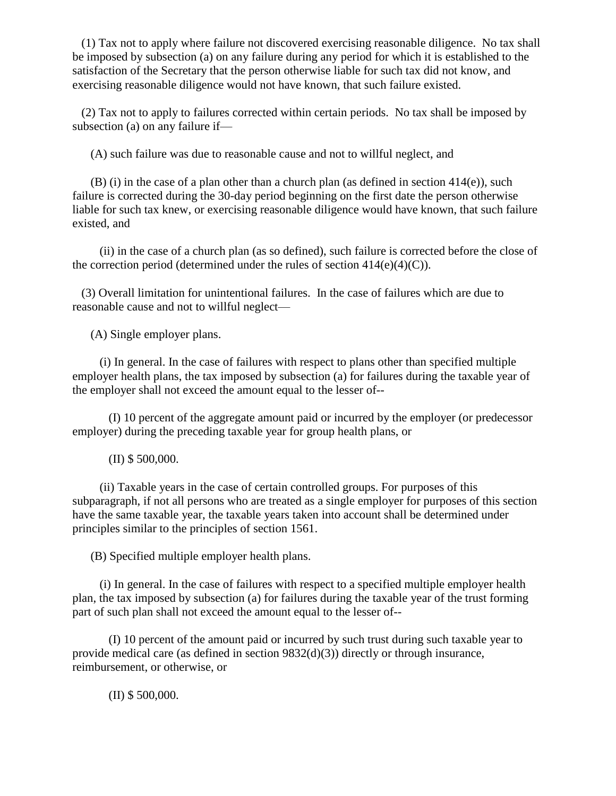(1) Tax not to apply where failure not discovered exercising reasonable diligence. No tax shall be imposed by subsection (a) on any failure during any period for which it is established to the satisfaction of the Secretary that the person otherwise liable for such tax did not know, and exercising reasonable diligence would not have known, that such failure existed.

 (2) Tax not to apply to failures corrected within certain periods. No tax shall be imposed by subsection (a) on any failure if—

(A) such failure was due to reasonable cause and not to willful neglect, and

 (B) (i) in the case of a plan other than a church plan (as defined in section 414(e)), such failure is corrected during the 30-day period beginning on the first date the person otherwise liable for such tax knew, or exercising reasonable diligence would have known, that such failure existed, and

 (ii) in the case of a church plan (as so defined), such failure is corrected before the close of the correction period (determined under the rules of section  $414(e)(4)(C)$ ).

 (3) Overall limitation for unintentional failures. In the case of failures which are due to reasonable cause and not to willful neglect—

(A) Single employer plans.

 (i) In general. In the case of failures with respect to plans other than specified multiple employer health plans, the tax imposed by subsection (a) for failures during the taxable year of the employer shall not exceed the amount equal to the lesser of--

 (I) 10 percent of the aggregate amount paid or incurred by the employer (or predecessor employer) during the preceding taxable year for group health plans, or

(II) \$ 500,000.

 (ii) Taxable years in the case of certain controlled groups. For purposes of this subparagraph, if not all persons who are treated as a single employer for purposes of this section have the same taxable year, the taxable years taken into account shall be determined under principles similar to the principles of section 1561.

(B) Specified multiple employer health plans.

 (i) In general. In the case of failures with respect to a specified multiple employer health plan, the tax imposed by subsection (a) for failures during the taxable year of the trust forming part of such plan shall not exceed the amount equal to the lesser of--

 (I) 10 percent of the amount paid or incurred by such trust during such taxable year to provide medical care (as defined in section  $9832(d)(3)$ ) directly or through insurance, reimbursement, or otherwise, or

(II) \$ 500,000.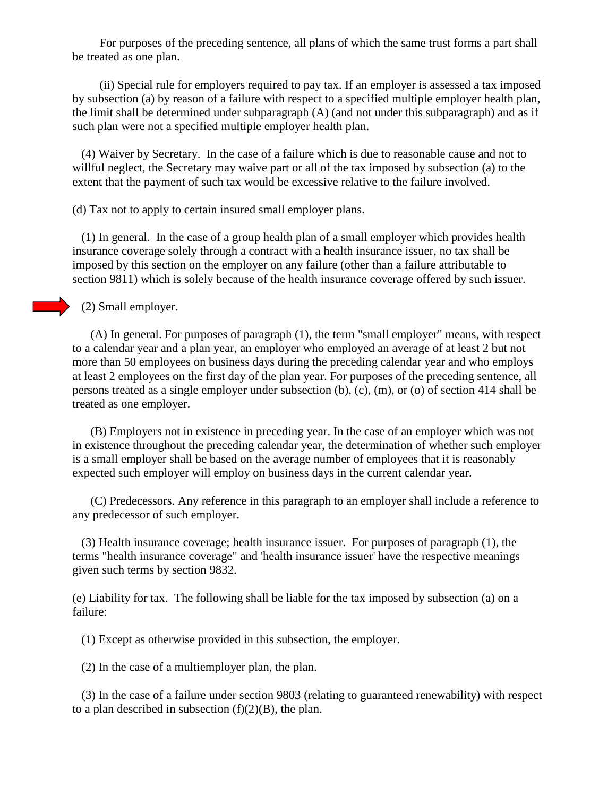For purposes of the preceding sentence, all plans of which the same trust forms a part shall be treated as one plan.

 (ii) Special rule for employers required to pay tax. If an employer is assessed a tax imposed by subsection (a) by reason of a failure with respect to a specified multiple employer health plan, the limit shall be determined under subparagraph  $(A)$  (and not under this subparagraph) and as if such plan were not a specified multiple employer health plan.

 (4) Waiver by Secretary. In the case of a failure which is due to reasonable cause and not to willful neglect, the Secretary may waive part or all of the tax imposed by subsection (a) to the extent that the payment of such tax would be excessive relative to the failure involved.

(d) Tax not to apply to certain insured small employer plans.

 (1) In general. In the case of a group health plan of a small employer which provides health insurance coverage solely through a contract with a health insurance issuer, no tax shall be imposed by this section on the employer on any failure (other than a failure attributable to section 9811) which is solely because of the health insurance coverage offered by such issuer.

(2) Small employer.

 (A) In general. For purposes of paragraph (1), the term "small employer" means, with respect to a calendar year and a plan year, an employer who employed an average of at least 2 but not more than 50 employees on business days during the preceding calendar year and who employs at least 2 employees on the first day of the plan year. For purposes of the preceding sentence, all persons treated as a single employer under subsection (b), (c), (m), or (o) of section 414 shall be treated as one employer.

 (B) Employers not in existence in preceding year. In the case of an employer which was not in existence throughout the preceding calendar year, the determination of whether such employer is a small employer shall be based on the average number of employees that it is reasonably expected such employer will employ on business days in the current calendar year.

 (C) Predecessors. Any reference in this paragraph to an employer shall include a reference to any predecessor of such employer.

 (3) Health insurance coverage; health insurance issuer. For purposes of paragraph (1), the terms "health insurance coverage" and 'health insurance issuer' have the respective meanings given such terms by section 9832.

(e) Liability for tax. The following shall be liable for the tax imposed by subsection (a) on a failure:

(1) Except as otherwise provided in this subsection, the employer.

(2) In the case of a multiemployer plan, the plan.

 (3) In the case of a failure under section 9803 (relating to guaranteed renewability) with respect to a plan described in subsection  $(f)(2)(B)$ , the plan.